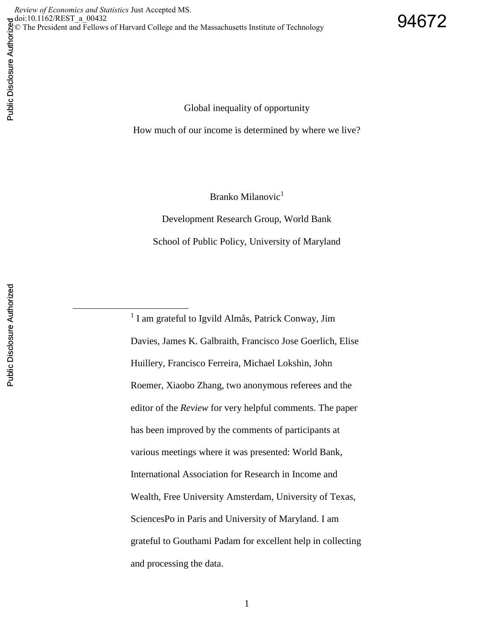Global inequality of opportunity

How much of our income is determined by where we live?

Branko Milanovic<sup>1</sup>

Development Research Group, World Bank School of Public Policy, University of Maryland

<sup>1</sup> I am grateful to Igvild Almås, Patrick Conway, Jim Davies, James K. Galbraith, Francisco Jose Goerlich, Elise Huillery, Francisco Ferreira, Michael Lokshin, John Roemer, Xiaobo Zhang, two anonymous referees and the editor of the *Review* for very helpful comments. The paper has been improved by the comments of participants at various meetings where it was presented: World Bank, International Association for Research in Income and Wealth, Free University Amsterdam, University of Texas, SciencesPo in Paris and University of Maryland. I am grateful to Gouthami Padam for excellent help in collecting and processing the data.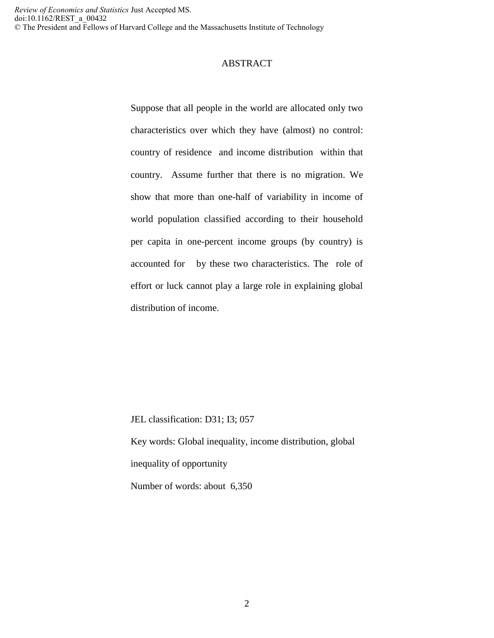### ABSTRACT

Suppose that all people in the world are allocated only two characteristics over which they have (almost) no control: country of residence and income distribution within that country. Assume further that there is no migration. We show that more than one-half of variability in income of world population classified according to their household per capita in one-percent income groups (by country) is accounted for by these two characteristics. The role of effort or luck cannot play a large role in explaining global distribution of income.

JEL classification: D31; I3; 057 Key words: Global inequality, income distribution, global inequality of opportunity Number of words: about 6,350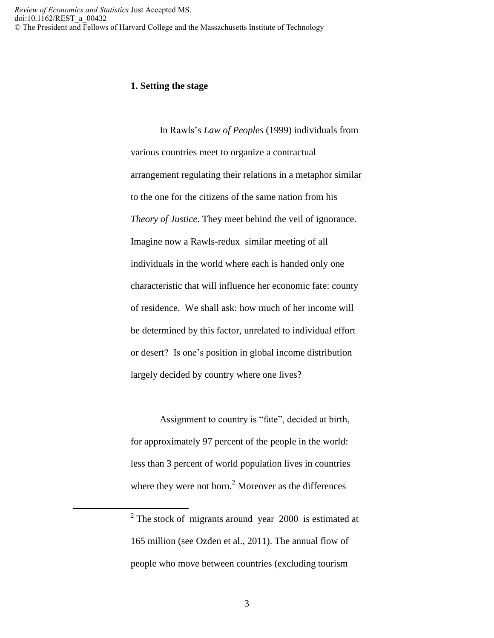### **1. Setting the stage**

In Rawls's *Law of Peoples* (1999) individuals from various countries meet to organize a contractual arrangement regulating their relations in a metaphor similar to the one for the citizens of the same nation from his *Theory of Justice*. They meet behind the veil of ignorance. Imagine now a Rawls-redux similar meeting of all individuals in the world where each is handed only one characteristic that will influence her economic fate: county of residence. We shall ask: how much of her income will be determined by this factor, unrelated to individual effort or desert? Is one's position in global income distribution largely decided by country where one lives?

Assignment to country is "fate", decided at birth, for approximately 97 percent of the people in the world: less than 3 percent of world population lives in countries where they were not born.<sup>2</sup> Moreover as the differences

 $\overline{a}$ 

 $2$  The stock of migrants around year 2000 is estimated at 165 million (see Ozden et al., 2011). The annual flow of people who move between countries (excluding tourism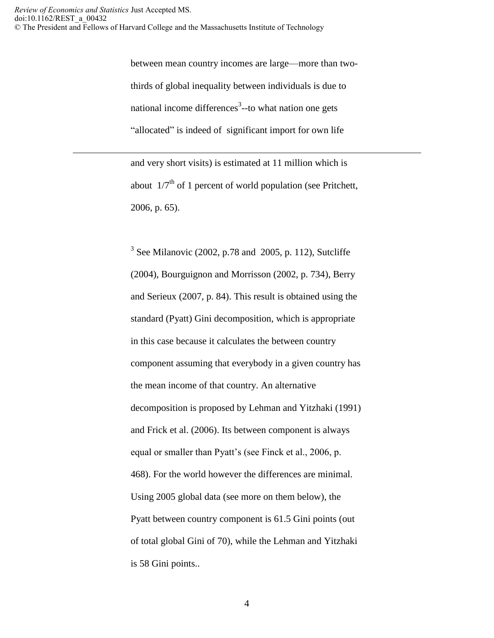$\overline{a}$ 

between mean country incomes are large—more than twothirds of global inequality between individuals is due to national income differences<sup>3</sup>--to what nation one gets "allocated" is indeed of significant import for own life

and very short visits) is estimated at 11 million which is about  $1/7<sup>th</sup>$  of 1 percent of world population (see Pritchett, 2006, p. 65).

 $3$  See Milanovic (2002, p.78 and 2005, p. 112), Sutcliffe (2004), Bourguignon and Morrisson (2002, p. 734), Berry and Serieux (2007, p. 84). This result is obtained using the standard (Pyatt) Gini decomposition, which is appropriate in this case because it calculates the between country component assuming that everybody in a given country has the mean income of that country. An alternative decomposition is proposed by Lehman and Yitzhaki (1991) and Frick et al. (2006). Its between component is always equal or smaller than Pyatt's (see Finck et al., 2006, p. 468). For the world however the differences are minimal. Using 2005 global data (see more on them below), the Pyatt between country component is 61.5 Gini points (out of total global Gini of 70), while the Lehman and Yitzhaki is 58 Gini points..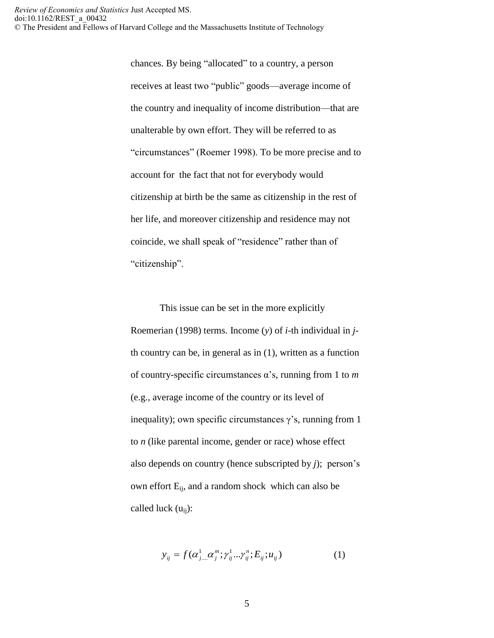chances. By being "allocated" to a country, a person receives at least two "public" goods—average income of the country and inequality of income distribution—that are unalterable by own effort. They will be referred to as "circumstances" (Roemer 1998). To be more precise and to account for the fact that not for everybody would citizenship at birth be the same as citizenship in the rest of her life, and moreover citizenship and residence may not coincide, we shall speak of "residence" rather than of "citizenship".

This issue can be set in the more explicitly Roemerian (1998) terms. Income (*y*) of *i*-th individual in *j*th country can be, in general as in (1), written as a function of country-specific circumstances α's, running from 1 to *m* (e.g., average income of the country or its level of inequality); own specific circumstances  $\gamma$ 's, running from 1 to *n* (like parental income, gender or race) whose effect also depends on country (hence subscripted by *j*); person's own effort  $E_{ij}$ , and a random shock which can also be called luck  $(u_{ii})$ :

$$
y_{ij} = f(\alpha_{j...}^1 \alpha_j^m; \gamma_{ij}^1 ... \gamma_{ij}^n; E_{ij}; u_{ij})
$$
 (1)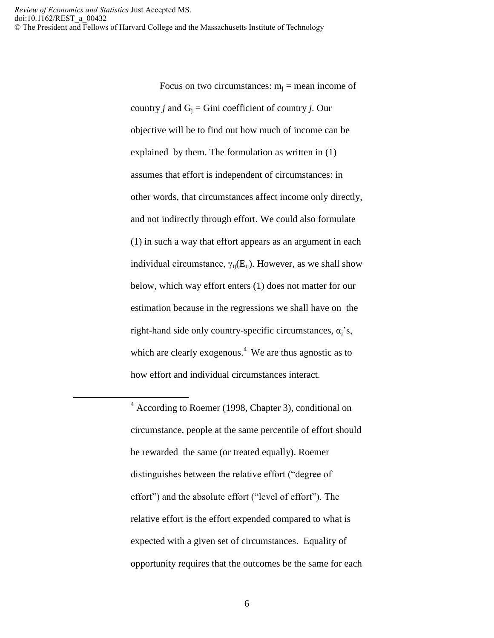$\overline{a}$ 

Focus on two circumstances:  $m_i$  = mean income of country *j* and  $G_i$  = Gini coefficient of country *j*. Our objective will be to find out how much of income can be explained by them. The formulation as written in (1) assumes that effort is independent of circumstances: in other words, that circumstances affect income only directly, and not indirectly through effort. We could also formulate (1) in such a way that effort appears as an argument in each individual circumstance,  $\gamma_{ii}(E_{ii})$ . However, as we shall show below, which way effort enters (1) does not matter for our estimation because in the regressions we shall have on the right-hand side only country-specific circumstances,  $\alpha_i$ 's, which are clearly exogenous.<sup>4</sup> We are thus agnostic as to how effort and individual circumstances interact.

 $4 \text{ According to Roemer (1998, Chapter 3), conditional on }$ circumstance, people at the same percentile of effort should be rewarded the same (or treated equally). Roemer distinguishes between the relative effort ("degree of effort") and the absolute effort ("level of effort"). The relative effort is the effort expended compared to what is expected with a given set of circumstances. Equality of opportunity requires that the outcomes be the same for each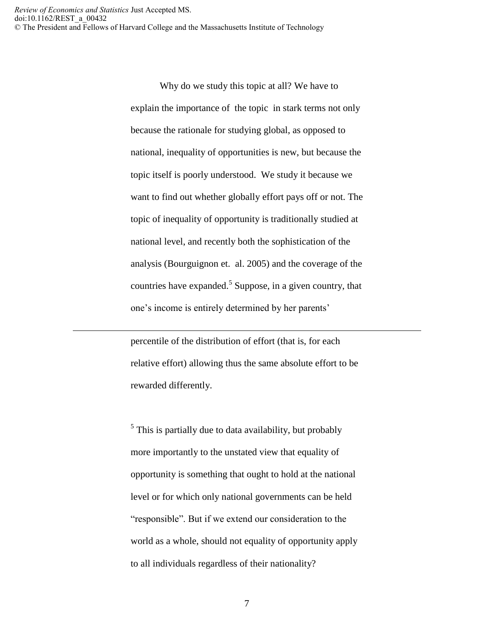$\overline{a}$ 

Why do we study this topic at all? We have to explain the importance of the topic in stark terms not only because the rationale for studying global, as opposed to national, inequality of opportunities is new, but because the topic itself is poorly understood. We study it because we want to find out whether globally effort pays off or not. The topic of inequality of opportunity is traditionally studied at national level, and recently both the sophistication of the analysis (Bourguignon et. al. 2005) and the coverage of the countries have expanded.<sup>5</sup> Suppose, in a given country, that one's income is entirely determined by her parents'

percentile of the distribution of effort (that is, for each relative effort) allowing thus the same absolute effort to be rewarded differently.

<sup>5</sup> This is partially due to data availability, but probably more importantly to the unstated view that equality of opportunity is something that ought to hold at the national level or for which only national governments can be held "responsible". But if we extend our consideration to the world as a whole, should not equality of opportunity apply to all individuals regardless of their nationality?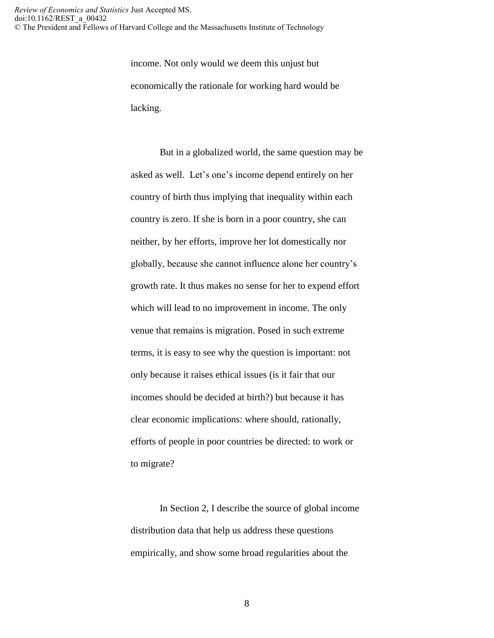> income. Not only would we deem this unjust but economically the rationale for working hard would be lacking.

But in a globalized world, the same question may be asked as well. Let's one's income depend entirely on her country of birth thus implying that inequality within each country is zero. If she is born in a poor country, she can neither, by her efforts, improve her lot domestically nor globally, because she cannot influence alone her country's growth rate. It thus makes no sense for her to expend effort which will lead to no improvement in income. The only venue that remains is migration. Posed in such extreme terms, it is easy to see why the question is important: not only because it raises ethical issues (is it fair that our incomes should be decided at birth?) but because it has clear economic implications: where should, rationally, efforts of people in poor countries be directed: to work or to migrate?

In Section 2, I describe the source of global income distribution data that help us address these questions empirically, and show some broad regularities about the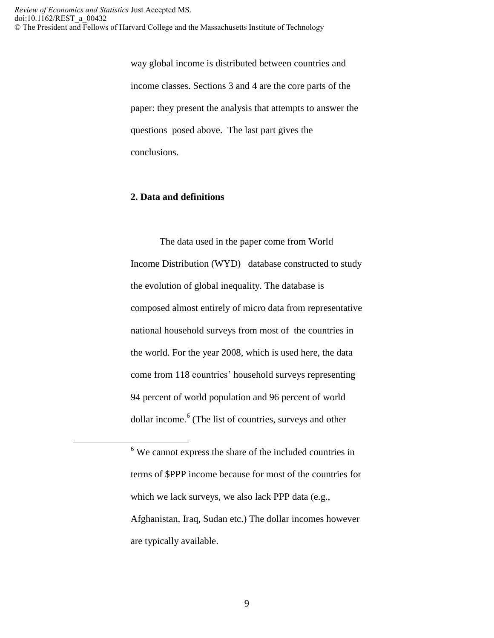way global income is distributed between countries and income classes. Sections 3 and 4 are the core parts of the paper: they present the analysis that attempts to answer the questions posed above. The last part gives the conclusions.

### **2. Data and definitions**

 $\overline{a}$ 

The data used in the paper come from World Income Distribution (WYD) database constructed to study the evolution of global inequality. The database is composed almost entirely of micro data from representative national household surveys from most of the countries in the world. For the year 2008, which is used here, the data come from 118 countries' household surveys representing 94 percent of world population and 96 percent of world dollar income.<sup>6</sup> (The list of countries, surveys and other

<sup>6</sup> We cannot express the share of the included countries in terms of \$PPP income because for most of the countries for which we lack surveys, we also lack PPP data (e.g., Afghanistan, Iraq, Sudan etc.) The dollar incomes however are typically available.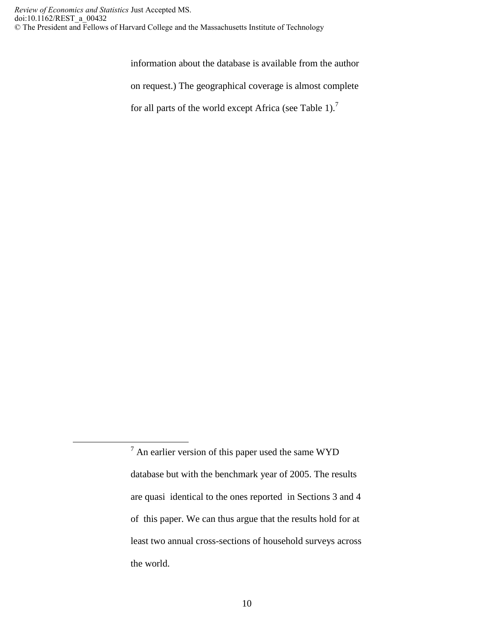$\overline{a}$ 

information about the database is available from the author

on request.) The geographical coverage is almost complete

for all parts of the world except Africa (see Table 1).<sup>7</sup>

 $7$  An earlier version of this paper used the same WYD database but with the benchmark year of 2005. The results are quasi identical to the ones reported in Sections 3 and 4 of this paper. We can thus argue that the results hold for at least two annual cross-sections of household surveys across the world.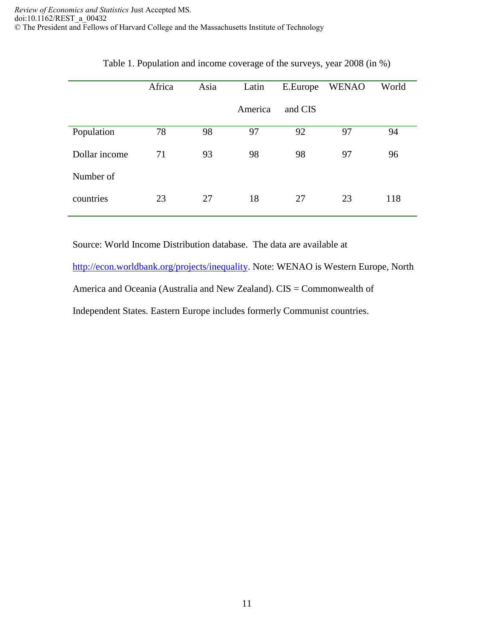|               | Africa | Asia | Latin   | E.Europe | <b>WENAO</b> | World |  |
|---------------|--------|------|---------|----------|--------------|-------|--|
|               |        |      | America | and CIS  |              |       |  |
| Population    | 78     | 98   | 97      | 92       | 97           | 94    |  |
| Dollar income | 71     | 93   | 98      | 98       |              | 96    |  |
| Number of     |        |      |         |          |              |       |  |
| countries     | 23     | 27   | 18      | 27       | 23           | 118   |  |

|  | Table 1. Population and income coverage of the surveys, year 2008 (in %) |
|--|--------------------------------------------------------------------------|
|  |                                                                          |

Source: World Income Distribution database. The data are available at

[http://econ.worldbank.org/projects/inequality.](http://econ.worldbank.org/projects/inequality) Note: WENAO is Western Europe, North America and Oceania (Australia and New Zealand). CIS = Commonwealth of Independent States. Eastern Europe includes formerly Communist countries.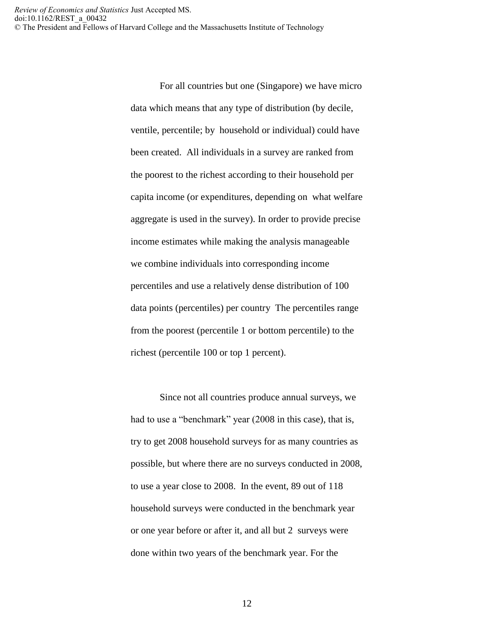> For all countries but one (Singapore) we have micro data which means that any type of distribution (by decile, ventile, percentile; by household or individual) could have been created. All individuals in a survey are ranked from the poorest to the richest according to their household per capita income (or expenditures, depending on what welfare aggregate is used in the survey). In order to provide precise income estimates while making the analysis manageable we combine individuals into corresponding income percentiles and use a relatively dense distribution of 100 data points (percentiles) per country The percentiles range from the poorest (percentile 1 or bottom percentile) to the richest (percentile 100 or top 1 percent).

> Since not all countries produce annual surveys, we had to use a "benchmark" year (2008 in this case), that is, try to get 2008 household surveys for as many countries as possible, but where there are no surveys conducted in 2008, to use a year close to 2008. In the event, 89 out of 118 household surveys were conducted in the benchmark year or one year before or after it, and all but 2 surveys were done within two years of the benchmark year. For the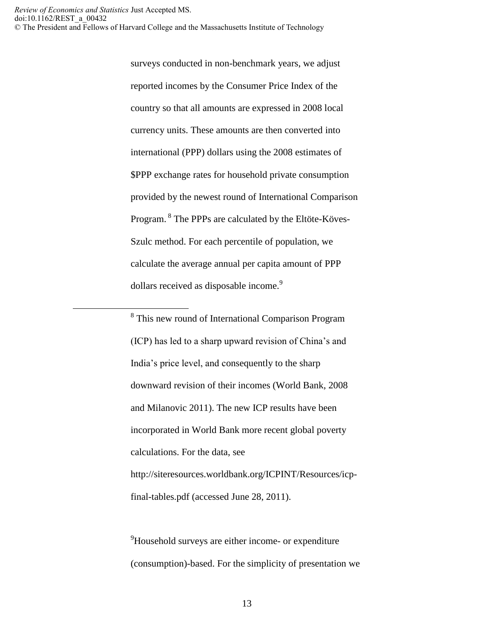$\overline{a}$ 

surveys conducted in non-benchmark years, we adjust reported incomes by the Consumer Price Index of the country so that all amounts are expressed in 2008 local currency units. These amounts are then converted into international (PPP) dollars using the 2008 estimates of \$PPP exchange rates for household private consumption provided by the newest round of International Comparison Program. <sup>8</sup> The PPPs are calculated by the Eltöte-Köves-Szulc method. For each percentile of population, we calculate the average annual per capita amount of PPP dollars received as disposable income.<sup>9</sup>

<sup>8</sup> This new round of International Comparison Program (ICP) has led to a sharp upward revision of China's and India's price level, and consequently to the sharp downward revision of their incomes (World Bank, 2008 and Milanovic 2011). The new ICP results have been incorporated in World Bank more recent global poverty calculations. For the data, see http://siteresources.worldbank.org/ICPINT/Resources/icpfinal-tables.pdf (accessed June 28, 2011).

<sup>9</sup>Household surveys are either income- or expenditure (consumption)-based. For the simplicity of presentation we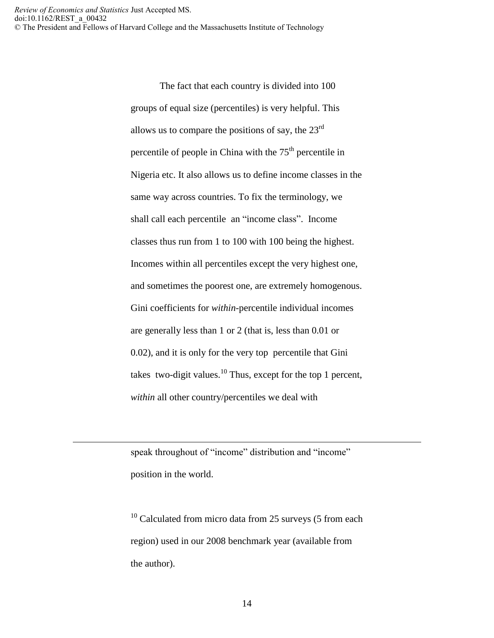> The fact that each country is divided into 100 groups of equal size (percentiles) is very helpful. This allows us to compare the positions of say, the  $23^{\text{rd}}$ percentile of people in China with the  $75<sup>th</sup>$  percentile in Nigeria etc. It also allows us to define income classes in the same way across countries. To fix the terminology, we shall call each percentile an "income class". Income classes thus run from 1 to 100 with 100 being the highest. Incomes within all percentiles except the very highest one, and sometimes the poorest one, are extremely homogenous. Gini coefficients for *within*-percentile individual incomes are generally less than 1 or 2 (that is, less than 0.01 or 0.02), and it is only for the very top percentile that Gini takes two-digit values.<sup>10</sup> Thus, except for the top 1 percent, *within* all other country/percentiles we deal with

speak throughout of "income" distribution and "income" position in the world.

 $\overline{a}$ 

 $10$  Calculated from micro data from 25 surveys (5 from each region) used in our 2008 benchmark year (available from the author).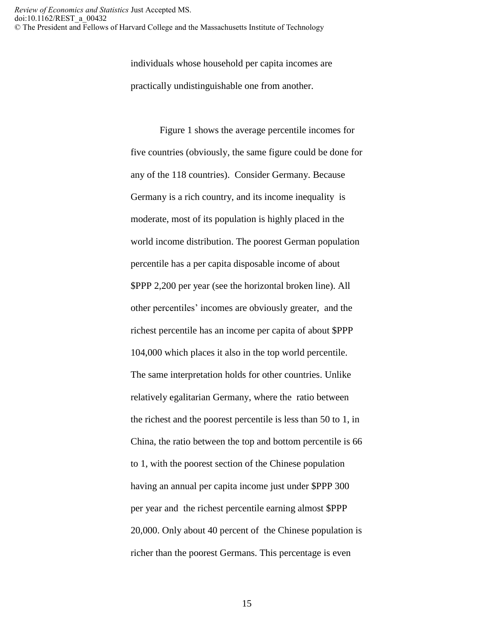individuals whose household per capita incomes are practically undistinguishable one from another.

Figure 1 shows the average percentile incomes for five countries (obviously, the same figure could be done for any of the 118 countries). Consider Germany. Because Germany is a rich country, and its income inequality is moderate, most of its population is highly placed in the world income distribution. The poorest German population percentile has a per capita disposable income of about \$PPP 2,200 per year (see the horizontal broken line). All other percentiles' incomes are obviously greater, and the richest percentile has an income per capita of about \$PPP 104,000 which places it also in the top world percentile. The same interpretation holds for other countries. Unlike relatively egalitarian Germany, where the ratio between the richest and the poorest percentile is less than 50 to 1, in China, the ratio between the top and bottom percentile is 66 to 1, with the poorest section of the Chinese population having an annual per capita income just under \$PPP 300 per year and the richest percentile earning almost \$PPP 20,000. Only about 40 percent of the Chinese population is richer than the poorest Germans. This percentage is even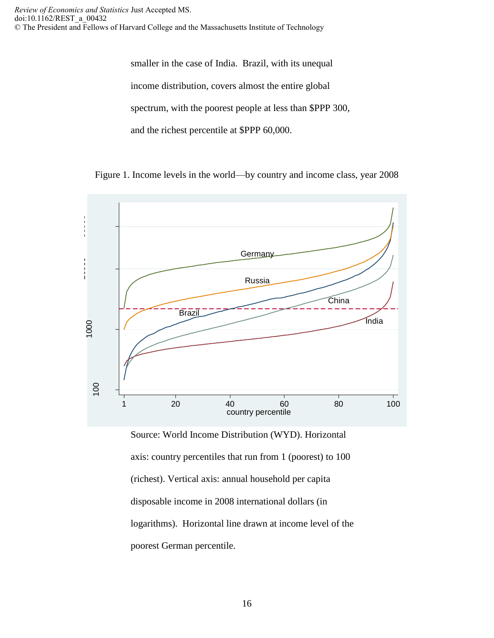smaller in the case of India. Brazil, with its unequal income distribution, covers almost the entire global spectrum, with the poorest people at less than \$PPP 300, and the richest percentile at \$PPP 60,000.

Figure 1. Income levels in the world—by country and income class, year 2008



Source: World Income Distribution (WYD). Horizontal axis: country percentiles that run from 1 (poorest) to 100 (richest). Vertical axis: annual household per capita disposable income in 2008 international dollars (in logarithms). Horizontal line drawn at income level of the poorest German percentile.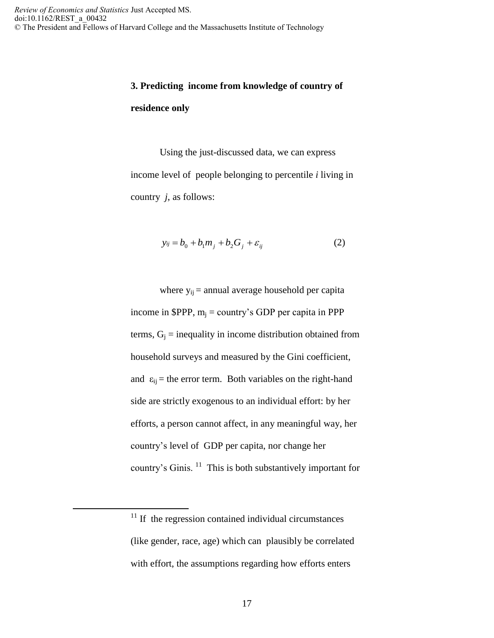# **3. Predicting income from knowledge of country of residence only**

Using the just-discussed data, we can express income level of people belonging to percentile *i* living in country *j*, as follows:

$$
y_{ij} = b_0 + b_1 m_j + b_2 G_j + \varepsilon_{ij}
$$
 (2)

where  $y_{ij}$  = annual average household per capita income in \$PPP,  $m_i =$  country's GDP per capita in PPP terms,  $G_i$  = inequality in income distribution obtained from household surveys and measured by the Gini coefficient, and  $\varepsilon_{ij}$  = the error term. Both variables on the right-hand side are strictly exogenous to an individual effort: by her efforts, a person cannot affect, in any meaningful way, her country's level of GDP per capita, nor change her country's Ginis.  $11$  This is both substantively important for

 $\overline{a}$ 

 $11$  If the regression contained individual circumstances (like gender, race, age) which can plausibly be correlated with effort, the assumptions regarding how efforts enters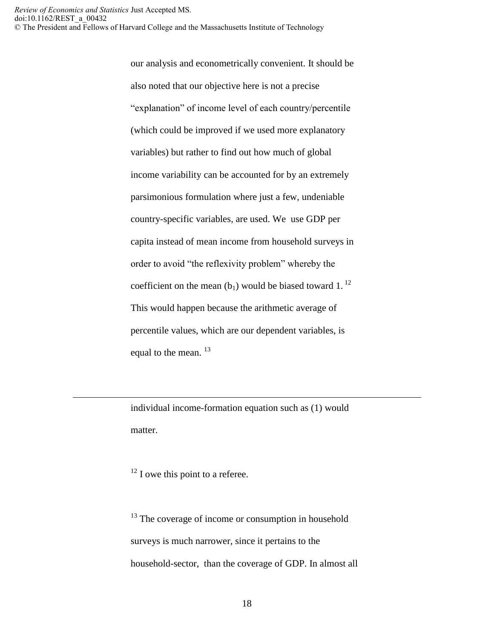our analysis and econometrically convenient. It should be also noted that our objective here is not a precise "explanation" of income level of each country/percentile (which could be improved if we used more explanatory variables) but rather to find out how much of global income variability can be accounted for by an extremely parsimonious formulation where just a few, undeniable country-specific variables, are used. We use GDP per capita instead of mean income from household surveys in order to avoid "the reflexivity problem" whereby the coefficient on the mean  $(b_1)$  would be biased toward 1.<sup>12</sup> This would happen because the arithmetic average of percentile values, which are our dependent variables, is equal to the mean.  $^{13}$ 

individual income-formation equation such as (1) would matter.

 $12$  I owe this point to a referee.

 $\overline{a}$ 

<sup>13</sup> The coverage of income or consumption in household surveys is much narrower, since it pertains to the household-sector, than the coverage of GDP. In almost all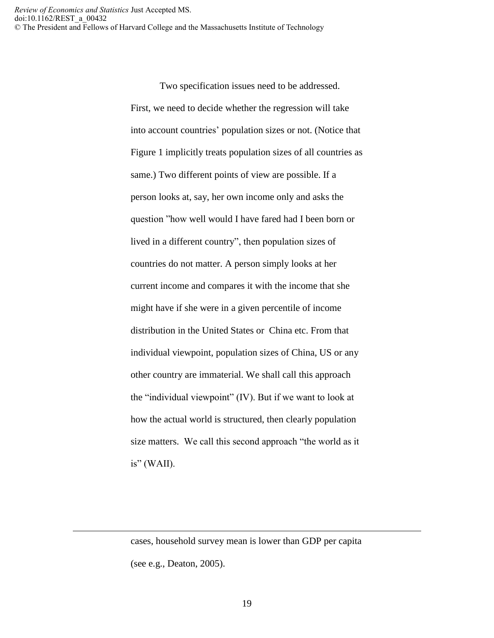> Two specification issues need to be addressed. First, we need to decide whether the regression will take into account countries' population sizes or not. (Notice that Figure 1 implicitly treats population sizes of all countries as same.) Two different points of view are possible. If a person looks at, say, her own income only and asks the question "how well would I have fared had I been born or lived in a different country", then population sizes of countries do not matter. A person simply looks at her current income and compares it with the income that she might have if she were in a given percentile of income distribution in the United States or China etc. From that individual viewpoint, population sizes of China, US or any other country are immaterial. We shall call this approach the "individual viewpoint" (IV). But if we want to look at how the actual world is structured, then clearly population size matters. We call this second approach "the world as it  $is'' (WAII).$

> cases, household survey mean is lower than GDP per capita (see e.g., Deaton, 2005).

 $\overline{a}$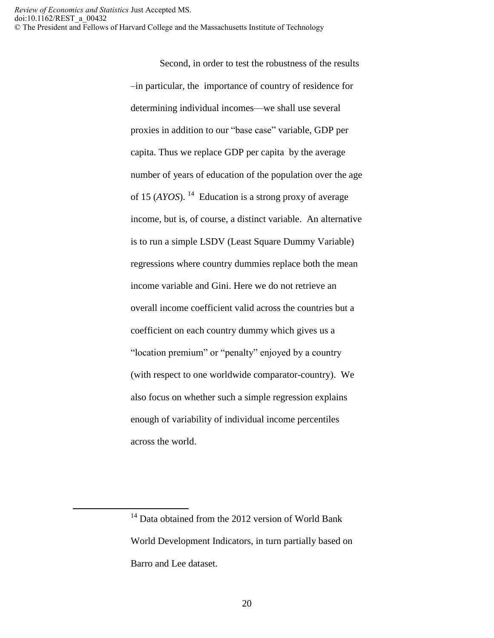Second, in order to test the robustness of the results –in particular, the importance of country of residence for determining individual incomes—we shall use several proxies in addition to our "base case" variable, GDP per capita. Thus we replace GDP per capita by the average number of years of education of the population over the age of 15 (*AYOS*). 14 Education is a strong proxy of average income, but is, of course, a distinct variable. An alternative is to run a simple LSDV (Least Square Dummy Variable) regressions where country dummies replace both the mean income variable and Gini. Here we do not retrieve an overall income coefficient valid across the countries but a coefficient on each country dummy which gives us a "location premium" or "penalty" enjoyed by a country (with respect to one worldwide comparator-country). We also focus on whether such a simple regression explains enough of variability of individual income percentiles across the world.

 $\overline{a}$ 

<sup>&</sup>lt;sup>14</sup> Data obtained from the 2012 version of World Bank World Development Indicators, in turn partially based on Barro and Lee dataset.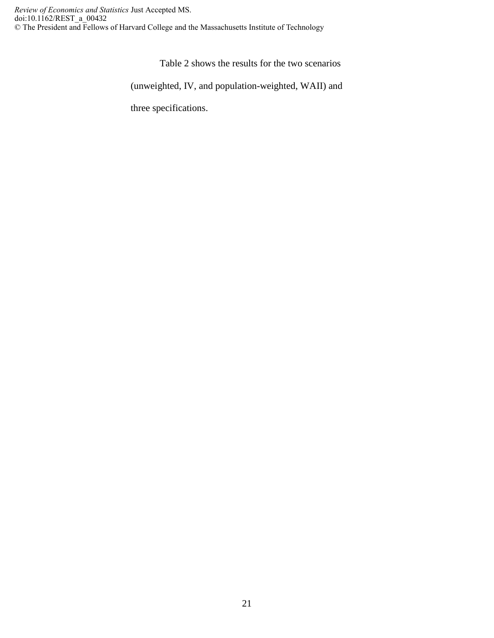Table 2 shows the results for the two scenarios

(unweighted, IV, and population-weighted, WAII) and

three specifications.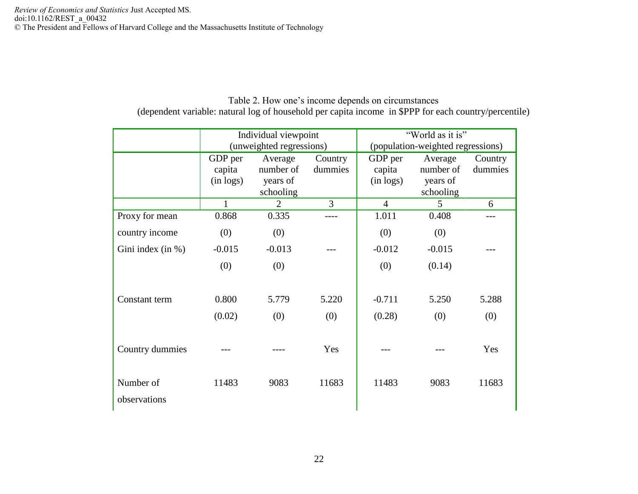|                           |                                | Individual viewpoint                          |                    | "World as it is"<br>(population-weighted regressions) |                                               |                    |  |  |  |
|---------------------------|--------------------------------|-----------------------------------------------|--------------------|-------------------------------------------------------|-----------------------------------------------|--------------------|--|--|--|
|                           |                                | (unweighted regressions)                      |                    |                                                       |                                               |                    |  |  |  |
|                           | GDP per<br>capita<br>(in logs) | Average<br>number of<br>years of<br>schooling | Country<br>dummies | GDP per<br>capita<br>(in logs)                        | Average<br>number of<br>years of<br>schooling | Country<br>dummies |  |  |  |
|                           | 1                              | 2                                             | $\overline{3}$     | $\overline{4}$                                        | 5                                             | 6                  |  |  |  |
| Proxy for mean            | 0.868                          | 0.335                                         |                    | 1.011                                                 | 0.408                                         |                    |  |  |  |
| country income            | (0)                            | (0)                                           |                    | (0)                                                   | (0)                                           |                    |  |  |  |
| Gini index (in %)         | $-0.015$                       | $-0.013$                                      |                    | $-0.012$                                              | $-0.015$                                      |                    |  |  |  |
|                           | (0)                            | (0)                                           |                    | (0)                                                   | (0.14)                                        |                    |  |  |  |
| Constant term             | 0.800                          | 5.779                                         | 5.220              | $-0.711$                                              | 5.250                                         | 5.288              |  |  |  |
|                           | (0.02)                         | (0)                                           | (0)                | (0.28)                                                | (0)                                           | (0)                |  |  |  |
| Country dummies           |                                |                                               | Yes                |                                                       |                                               | Yes                |  |  |  |
| Number of<br>observations | 11483                          | 9083                                          | 11683              | 11483                                                 | 9083                                          | 11683              |  |  |  |

Table 2. How one's income depends on circumstances (dependent variable: natural log of household per capita income in \$PPP for each country/percentile)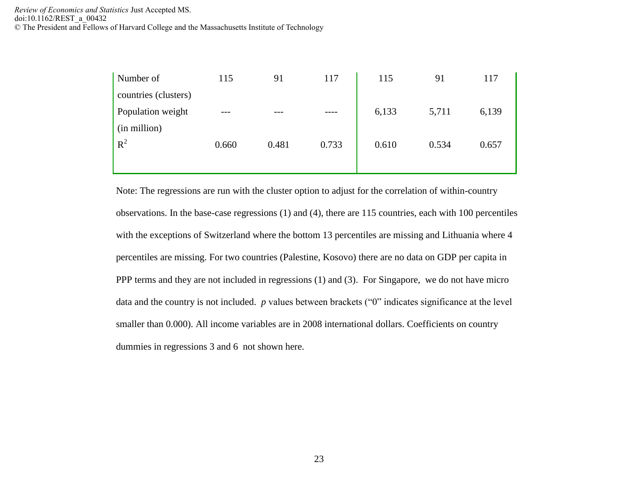| Number of            | 115   | 91    | 117   | 115   | 91    | 117   |
|----------------------|-------|-------|-------|-------|-------|-------|
| countries (clusters) |       |       |       |       |       |       |
| Population weight    | ---   |       |       | 6,133 | 5,711 | 6,139 |
| (in million)         |       |       |       |       |       |       |
| $R^2$                | 0.660 | 0.481 | 0.733 | 0.610 | 0.534 | 0.657 |
|                      |       |       |       |       |       |       |

Note: The regressions are run with the cluster option to adjust for the correlation of within-country observations. In the base-case regressions (1) and (4), there are 115 countries, each with 100 percentiles with the exceptions of Switzerland where the bottom 13 percentiles are missing and Lithuania where 4 percentiles are missing. For two countries (Palestine, Kosovo) there are no data on GDP per capita in PPP terms and they are not included in regressions (1) and (3). For Singapore, we do not have micro data and the country is not included. *p* values between brackets ("0" indicates significance at the level smaller than 0.000). All income variables are in 2008 international dollars. Coefficients on country dummies in regressions 3 and 6 not shown here.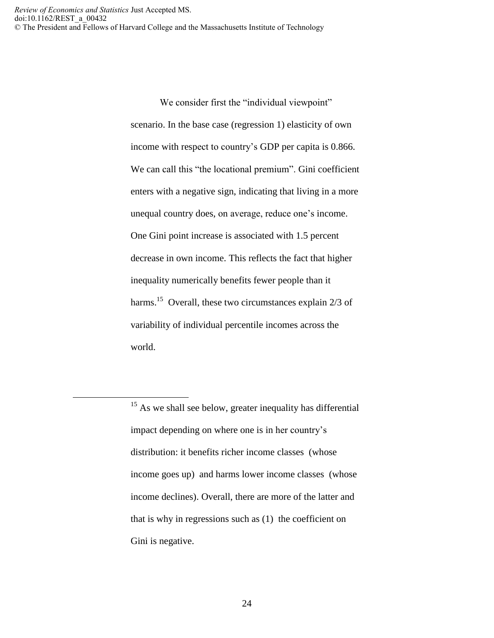$\overline{a}$ 

We consider first the "individual viewpoint" scenario. In the base case (regression 1) elasticity of own income with respect to country's GDP per capita is 0.866. We can call this "the locational premium". Gini coefficient enters with a negative sign, indicating that living in a more unequal country does, on average, reduce one's income. One Gini point increase is associated with 1.5 percent decrease in own income. This reflects the fact that higher inequality numerically benefits fewer people than it harms.<sup>15</sup> Overall, these two circumstances explain 2/3 of variability of individual percentile incomes across the world.

<sup>&</sup>lt;sup>15</sup> As we shall see below, greater inequality has differential impact depending on where one is in her country's distribution: it benefits richer income classes (whose income goes up) and harms lower income classes (whose income declines). Overall, there are more of the latter and that is why in regressions such as (1) the coefficient on Gini is negative.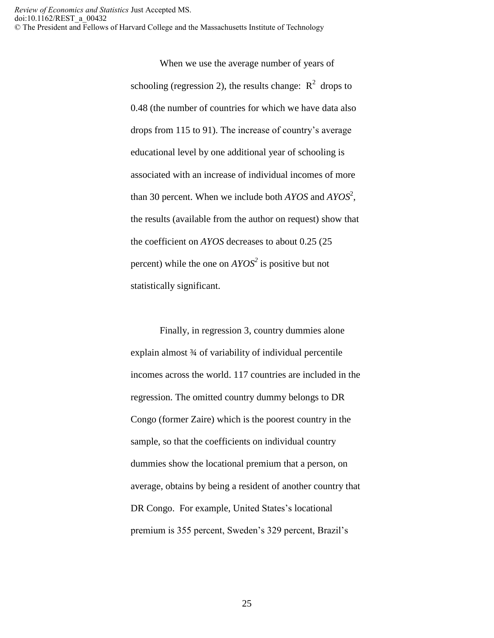> When we use the average number of years of schooling (regression 2), the results change:  $R^2$  drops to 0.48 (the number of countries for which we have data also drops from 115 to 91). The increase of country's average educational level by one additional year of schooling is associated with an increase of individual incomes of more than 30 percent. When we include both *AYOS* and *AYOS*<sup>2</sup> , the results (available from the author on request) show that the coefficient on *AYOS* decreases to about 0.25 (25 percent) while the one on *AYOS<sup>2</sup>* is positive but not statistically significant.

> Finally, in regression 3, country dummies alone explain almost ¾ of variability of individual percentile incomes across the world. 117 countries are included in the regression. The omitted country dummy belongs to DR Congo (former Zaire) which is the poorest country in the sample, so that the coefficients on individual country dummies show the locational premium that a person, on average, obtains by being a resident of another country that DR Congo. For example, United States's locational premium is 355 percent, Sweden's 329 percent, Brazil's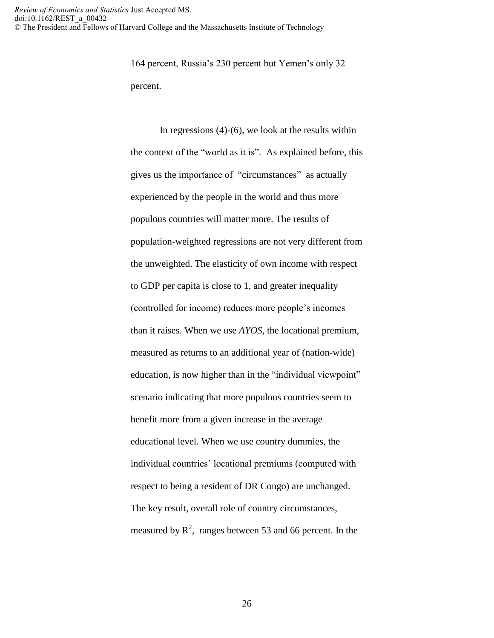164 percent, Russia's 230 percent but Yemen's only 32 percent.

In regressions  $(4)-(6)$ , we look at the results within the context of the "world as it is". As explained before, this gives us the importance of "circumstances" as actually experienced by the people in the world and thus more populous countries will matter more. The results of population-weighted regressions are not very different from the unweighted. The elasticity of own income with respect to GDP per capita is close to 1, and greater inequality (controlled for income) reduces more people's incomes than it raises. When we use *AYOS*, the locational premium, measured as returns to an additional year of (nation-wide) education, is now higher than in the "individual viewpoint" scenario indicating that more populous countries seem to benefit more from a given increase in the average educational level. When we use country dummies, the individual countries' locational premiums (computed with respect to being a resident of DR Congo) are unchanged. The key result, overall role of country circumstances, measured by  $\mathbb{R}^2$ , ranges between 53 and 66 percent. In the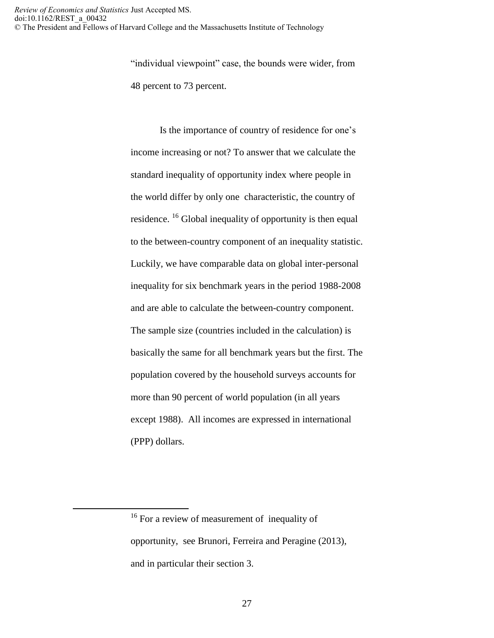"individual viewpoint" case, the bounds were wider, from 48 percent to 73 percent.

Is the importance of country of residence for one's income increasing or not? To answer that we calculate the standard inequality of opportunity index where people in the world differ by only one characteristic, the country of residence. <sup>16</sup> Global inequality of opportunity is then equal to the between-country component of an inequality statistic. Luckily, we have comparable data on global inter-personal inequality for six benchmark years in the period 1988-2008 and are able to calculate the between-country component. The sample size (countries included in the calculation) is basically the same for all benchmark years but the first. The population covered by the household surveys accounts for more than 90 percent of world population (in all years except 1988). All incomes are expressed in international (PPP) dollars.

 $\overline{a}$ 

<sup>&</sup>lt;sup>16</sup> For a review of measurement of inequality of opportunity, see Brunori, Ferreira and Peragine (2013), and in particular their section 3.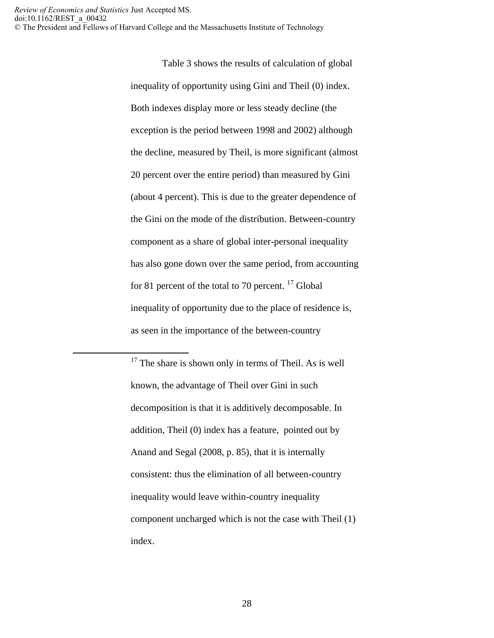$\overline{a}$ 

Table 3 shows the results of calculation of global inequality of opportunity using Gini and Theil (0) index. Both indexes display more or less steady decline (the exception is the period between 1998 and 2002) although the decline, measured by Theil, is more significant (almost 20 percent over the entire period) than measured by Gini (about 4 percent). This is due to the greater dependence of the Gini on the mode of the distribution. Between-country component as a share of global inter-personal inequality has also gone down over the same period, from accounting for 81 percent of the total to 70 percent.  $^{17}$  Global inequality of opportunity due to the place of residence is, as seen in the importance of the between-country

 $17$  The share is shown only in terms of Theil. As is well known, the advantage of Theil over Gini in such decomposition is that it is additively decomposable. In addition, Theil (0) index has a feature, pointed out by Anand and Segal (2008, p. 85), that it is internally consistent: thus the elimination of all between-country inequality would leave within-country inequality component uncharged which is not the case with Theil (1) index.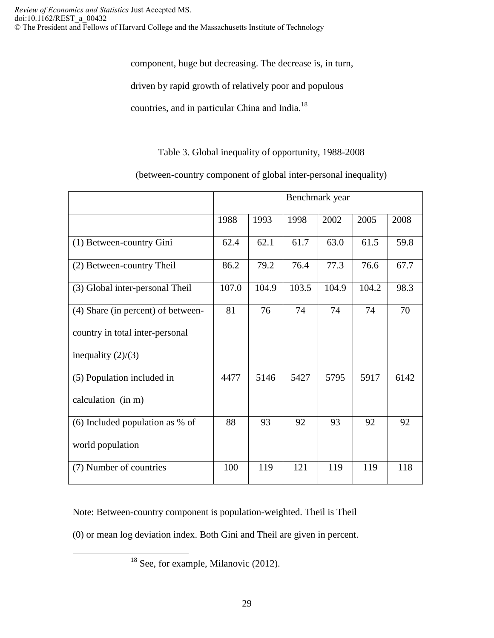component, huge but decreasing. The decrease is, in turn,

driven by rapid growth of relatively poor and populous

countries, and in particular China and India.<sup>18</sup>

Table 3. Global inequality of opportunity, 1988-2008

(between-country component of global inter-personal inequality)

|                                    | Benchmark year |       |       |       |       |      |  |  |  |  |  |  |  |  |
|------------------------------------|----------------|-------|-------|-------|-------|------|--|--|--|--|--|--|--|--|
|                                    | 1988           | 1993  | 1998  | 2002  | 2005  | 2008 |  |  |  |  |  |  |  |  |
| (1) Between-country Gini           | 62.4           | 62.1  | 61.7  | 63.0  | 61.5  | 59.8 |  |  |  |  |  |  |  |  |
| (2) Between-country Theil          | 86.2           | 79.2  | 76.4  | 77.3  | 76.6  | 67.7 |  |  |  |  |  |  |  |  |
| (3) Global inter-personal Theil    | 107.0          | 104.9 | 103.5 | 104.9 | 104.2 | 98.3 |  |  |  |  |  |  |  |  |
| (4) Share (in percent) of between- | 81             | 76    | 74    | 74    | 74    | 70   |  |  |  |  |  |  |  |  |
| country in total inter-personal    |                |       |       |       |       |      |  |  |  |  |  |  |  |  |
| inequality $(2)/(3)$               |                |       |       |       |       |      |  |  |  |  |  |  |  |  |
| (5) Population included in         | 4477           | 5146  | 5427  | 5795  | 5917  | 6142 |  |  |  |  |  |  |  |  |
| calculation (in m)                 |                |       |       |       |       |      |  |  |  |  |  |  |  |  |
| (6) Included population as $%$ of  | 88             | 93    | 92    | 93    | 92    | 92   |  |  |  |  |  |  |  |  |
| world population                   |                |       |       |       |       |      |  |  |  |  |  |  |  |  |
| (7) Number of countries            | 100            | 119   | 121   | 119   | 119   | 118  |  |  |  |  |  |  |  |  |

Note: Between-country component is population-weighted. Theil is Theil

(0) or mean log deviation index. Both Gini and Theil are given in percent.

<sup>18</sup> See, for example, Milanovic (2012).

 $\overline{a}$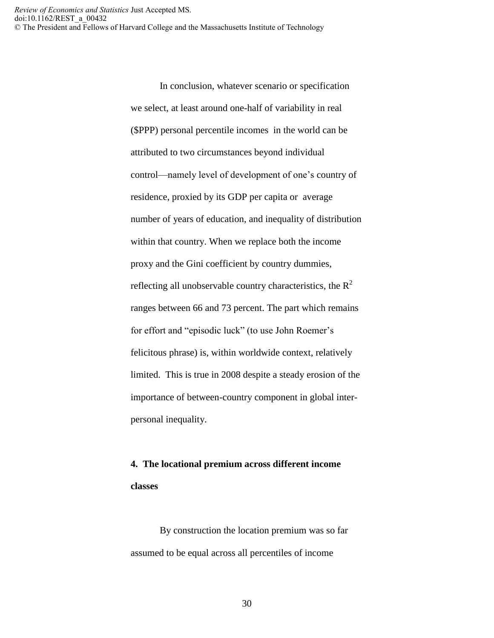> In conclusion, whatever scenario or specification we select, at least around one-half of variability in real (\$PPP) personal percentile incomes in the world can be attributed to two circumstances beyond individual control—namely level of development of one's country of residence, proxied by its GDP per capita or average number of years of education, and inequality of distribution within that country. When we replace both the income proxy and the Gini coefficient by country dummies, reflecting all unobservable country characteristics, the  $R^2$ ranges between 66 and 73 percent. The part which remains for effort and "episodic luck" (to use John Roemer's felicitous phrase) is, within worldwide context, relatively limited. This is true in 2008 despite a steady erosion of the importance of between-country component in global interpersonal inequality.

# **4. The locational premium across different income classes**

By construction the location premium was so far assumed to be equal across all percentiles of income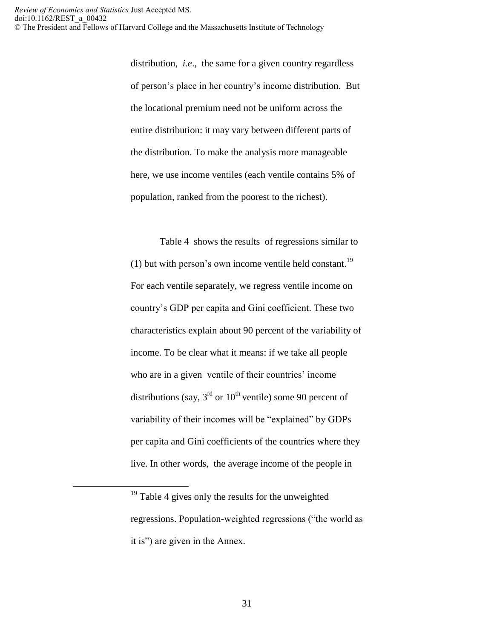distribution, *i.e*., the same for a given country regardless of person's place in her country's income distribution. But the locational premium need not be uniform across the entire distribution: it may vary between different parts of the distribution. To make the analysis more manageable here, we use income ventiles (each ventile contains 5% of population, ranked from the poorest to the richest).

Table 4 shows the results of regressions similar to (1) but with person's own income ventile held constant.<sup>19</sup> For each ventile separately, we regress ventile income on country's GDP per capita and Gini coefficient. These two characteristics explain about 90 percent of the variability of income. To be clear what it means: if we take all people who are in a given ventile of their countries' income distributions (say,  $3<sup>rd</sup>$  or  $10<sup>th</sup>$  ventile) some 90 percent of variability of their incomes will be "explained" by GDPs per capita and Gini coefficients of the countries where they live. In other words, the average income of the people in

 $\overline{a}$ 

<sup>&</sup>lt;sup>19</sup> Table 4 gives only the results for the unweighted regressions. Population-weighted regressions ("the world as it is") are given in the Annex.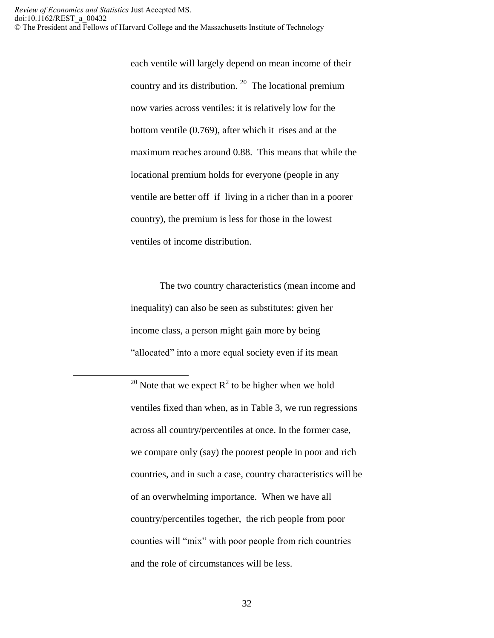$\overline{a}$ 

each ventile will largely depend on mean income of their country and its distribution.  $20$  The locational premium now varies across ventiles: it is relatively low for the bottom ventile (0.769), after which it rises and at the maximum reaches around 0.88. This means that while the locational premium holds for everyone (people in any ventile are better off if living in a richer than in a poorer country), the premium is less for those in the lowest ventiles of income distribution.

The two country characteristics (mean income and inequality) can also be seen as substitutes: given her income class, a person might gain more by being "allocated" into a more equal society even if its mean

<sup>20</sup> Note that we expect  $R^2$  to be higher when we hold ventiles fixed than when, as in Table 3, we run regressions across all country/percentiles at once. In the former case, we compare only (say) the poorest people in poor and rich countries, and in such a case, country characteristics will be of an overwhelming importance. When we have all country/percentiles together, the rich people from poor counties will "mix" with poor people from rich countries and the role of circumstances will be less.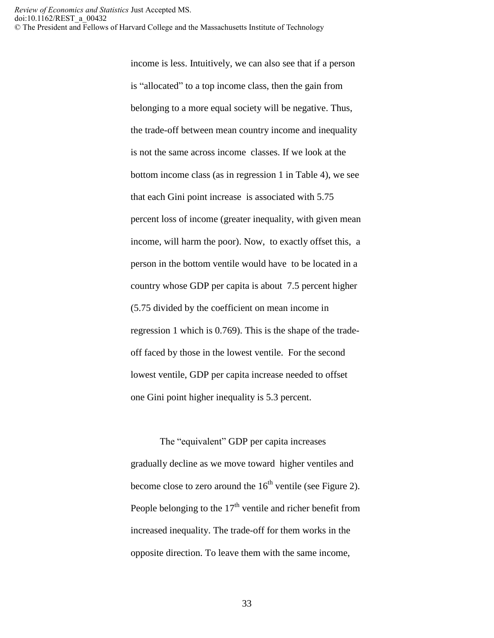income is less. Intuitively, we can also see that if a person is "allocated" to a top income class, then the gain from belonging to a more equal society will be negative. Thus, the trade-off between mean country income and inequality is not the same across income classes. If we look at the bottom income class (as in regression 1 in Table 4), we see that each Gini point increase is associated with 5.75 percent loss of income (greater inequality, with given mean income, will harm the poor). Now, to exactly offset this, a person in the bottom ventile would have to be located in a country whose GDP per capita is about 7.5 percent higher (5.75 divided by the coefficient on mean income in regression 1 which is 0.769). This is the shape of the tradeoff faced by those in the lowest ventile. For the second lowest ventile, GDP per capita increase needed to offset one Gini point higher inequality is 5.3 percent.

The "equivalent" GDP per capita increases gradually decline as we move toward higher ventiles and become close to zero around the  $16<sup>th</sup>$  ventile (see Figure 2). People belonging to the  $17<sup>th</sup>$  ventile and richer benefit from increased inequality. The trade-off for them works in the opposite direction. To leave them with the same income,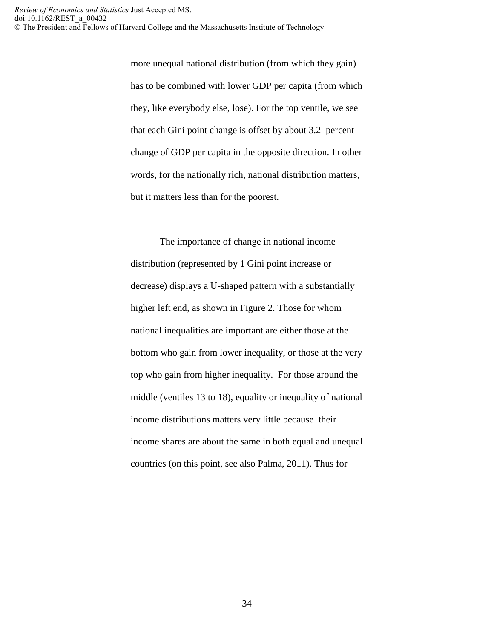> more unequal national distribution (from which they gain) has to be combined with lower GDP per capita (from which they, like everybody else, lose). For the top ventile, we see that each Gini point change is offset by about 3.2 percent change of GDP per capita in the opposite direction. In other words, for the nationally rich, national distribution matters, but it matters less than for the poorest.

> The importance of change in national income distribution (represented by 1 Gini point increase or decrease) displays a U-shaped pattern with a substantially higher left end, as shown in Figure 2. Those for whom national inequalities are important are either those at the bottom who gain from lower inequality, or those at the very top who gain from higher inequality. For those around the middle (ventiles 13 to 18), equality or inequality of national income distributions matters very little because their income shares are about the same in both equal and unequal countries (on this point, see also Palma, 2011). Thus for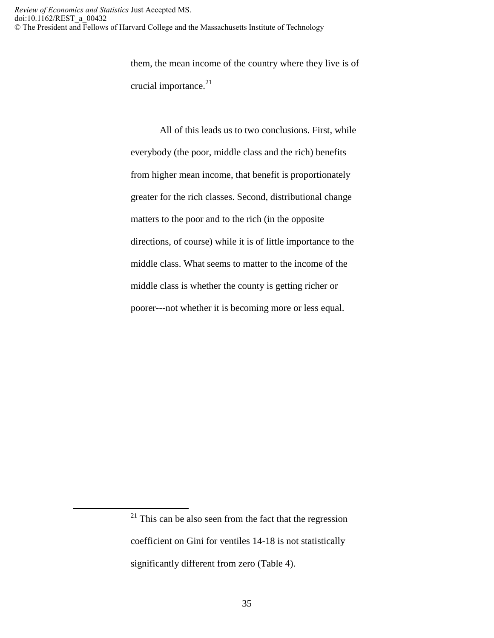them, the mean income of the country where they live is of crucial importance.<sup>21</sup>

All of this leads us to two conclusions. First, while everybody (the poor, middle class and the rich) benefits from higher mean income, that benefit is proportionately greater for the rich classes. Second, distributional change matters to the poor and to the rich (in the opposite directions, of course) while it is of little importance to the middle class. What seems to matter to the income of the middle class is whether the county is getting richer or poorer---not whether it is becoming more or less equal.

 $\overline{a}$ 

 $21$  This can be also seen from the fact that the regression coefficient on Gini for ventiles 14-18 is not statistically significantly different from zero (Table 4).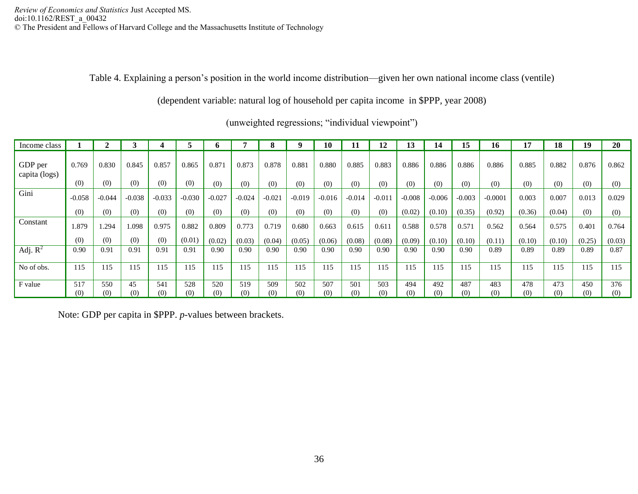Table 4. Explaining a person's position in the world income distribution—given her own national income class (ventile)

(dependent variable: natural log of household per capita income in \$PPP, year 2008)

| Income class             |          |          |          |          |          |          |          |          |          | 10       |          | 12       | 13       | 14       | 15       | 16        | 17     | 18     | 19     | 20     |
|--------------------------|----------|----------|----------|----------|----------|----------|----------|----------|----------|----------|----------|----------|----------|----------|----------|-----------|--------|--------|--------|--------|
| GDP per<br>capita (logs) | 0.769    | 0.830    | 0.845    | 0.857    | 0.865    | 0.871    | 0.873    | 0.878    | 0.881    | 0.880    | 0.885    | 0.883    | 0.886    | 0.886    | 0.886    | 0.886     | 0.885  | 0.882  | 0.876  | 0.862  |
|                          | (0)      | (0)      | (0)      | (0)      | (0)      | (0)      | (0)      | (0)      | (0)      | (0)      | (0)      | (0)      | (0)      | (0)      | (0)      | (0)       | (0)    | (0)    | (0)    | (0)    |
| Gini                     | $-0.058$ | $-0.044$ | $-0.038$ | $-0.033$ | $-0.030$ | $-0.027$ | $-0.024$ | $-0.021$ | $-0.019$ | $-0.016$ | $-0.014$ | $-0.011$ | $-0.008$ | $-0.006$ | $-0.003$ | $-0.0001$ | 0.003  | 0.007  | 0.013  | 0.029  |
|                          | (0)      | (0)      | (0)      | (0)      | (0)      | (0)      | (0)      | (0)      | (0)      | (0)      | (0)      | (0)      | (0.02)   | (0.10)   | (0.35)   | (0.92)    | (0.36) | (0.04) | (0)    | (0)    |
| Constant                 | 1.879    | 1.294    | 1.098    | 0.975    | 0.882    | 0.809    | 0.773    | 0.719    | 0.680    | 0.663    | 0.615    | 0.611    | 0.588    | 0.578    | 0.571    | 0.562     | 0.564  | 0.575  | 0.401  | 0.764  |
|                          | (0)      | (0)      | (0)      | (0)      | (0.01)   | (0.02)   | (0.03)   | (0.04)   | (0.05)   | (0.06)   | (0.08)   | (0.08)   | (0.09)   | (0.10)   | (0.10)   | (0.11)    | (0.10) | (0.10) | (0.25) | (0.03) |
| Adj. $R^2$               | 0.90     | 0.91     | 0.91     | 0.91     | 0.91     | 0.90     | 0.90     | 0.90     | 0.90     | 0.90     | 0.90     | 0.90     | 0.90     | 0.90     | 0.90     | 0.89      | 0.89   | 0.89   | 0.89   | 0.87   |
| No of obs.               | 115      | 115      | 115      | 115      | 115      | 115      | 115      | 115      | 115      | 115      | 115      | 115      | 115      | 115      | 115      | 115       | 115    | 115    | 115    | 115    |
| F value                  | 517      | 550      | 45       | 541      | 528      | 520      | 519      | 509      | 502      | 507      | 501      | 503      | 494      | 492      | 487      | 483       | 478    | 473    | 450    | 376    |
|                          | (0)      | (0)      | (0)      | (0)      | (0)      | (0)      | (0)      | (0)      | (0)      | (0)      | (0)      | (0)      | (0)      | (0)      | (0)      | (0)       | (0)    | (0)    | (0)    | (0)    |

(unweighted regressions; "individual viewpoint")

Note: GDP per capita in \$PPP. *p*-values between brackets.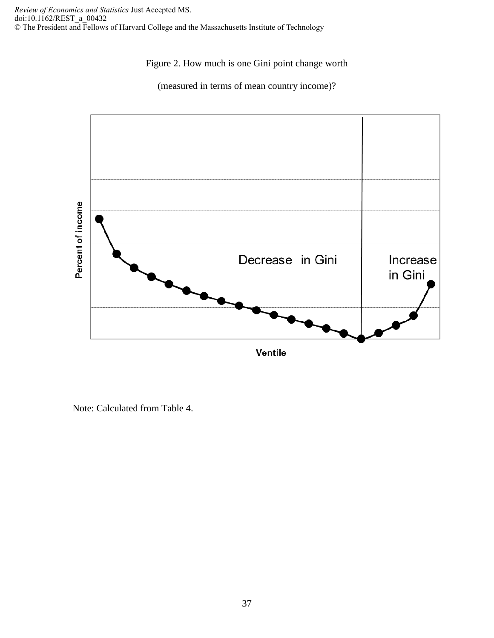## Figure 2. How much is one Gini point change worth





Note: Calculated from Table 4.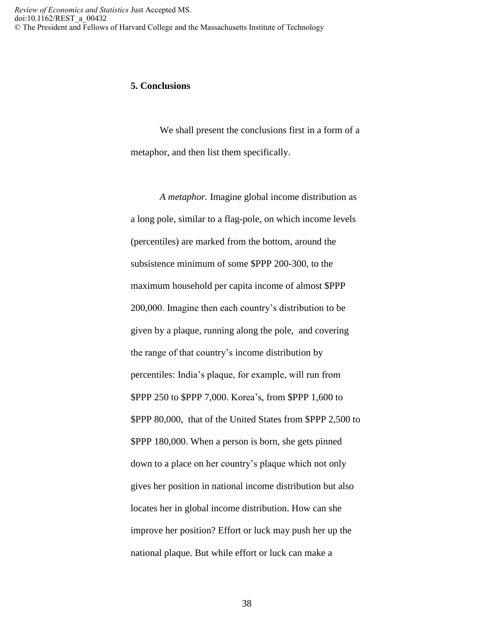### **5. Conclusions**

We shall present the conclusions first in a form of a metaphor, and then list them specifically.

*A metaphor.* Imagine global income distribution as a long pole, similar to a flag-pole, on which income levels (percentiles) are marked from the bottom, around the subsistence minimum of some \$PPP 200-300, to the maximum household per capita income of almost \$PPP 200,000. Imagine then each country's distribution to be given by a plaque, running along the pole, and covering the range of that country's income distribution by percentiles: India's plaque, for example, will run from \$PPP 250 to \$PPP 7,000. Korea's, from \$PPP 1,600 to \$PPP 80,000, that of the United States from \$PPP 2,500 to \$PPP 180,000. When a person is born, she gets pinned down to a place on her country's plaque which not only gives her position in national income distribution but also locates her in global income distribution. How can she improve her position? Effort or luck may push her up the national plaque. But while effort or luck can make a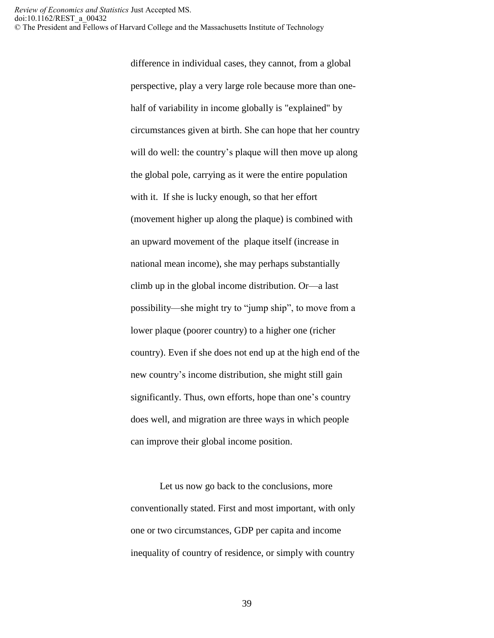difference in individual cases, they cannot, from a global perspective, play a very large role because more than onehalf of variability in income globally is "explained" by circumstances given at birth. She can hope that her country will do well: the country's plaque will then move up along the global pole, carrying as it were the entire population with it. If she is lucky enough, so that her effort (movement higher up along the plaque) is combined with an upward movement of the plaque itself (increase in national mean income), she may perhaps substantially climb up in the global income distribution. Or—a last possibility—she might try to "jump ship", to move from a lower plaque (poorer country) to a higher one (richer country). Even if she does not end up at the high end of the new country's income distribution, she might still gain significantly. Thus, own efforts, hope than one's country does well, and migration are three ways in which people can improve their global income position.

Let us now go back to the conclusions, more conventionally stated. First and most important, with only one or two circumstances, GDP per capita and income inequality of country of residence, or simply with country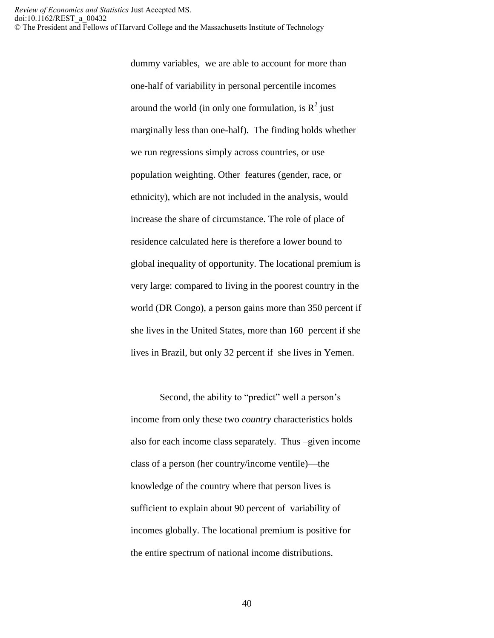dummy variables, we are able to account for more than one-half of variability in personal percentile incomes around the world (in only one formulation, is  $R^2$  just marginally less than one-half). The finding holds whether we run regressions simply across countries, or use population weighting. Other features (gender, race, or ethnicity), which are not included in the analysis, would increase the share of circumstance. The role of place of residence calculated here is therefore a lower bound to global inequality of opportunity. The locational premium is very large: compared to living in the poorest country in the world (DR Congo), a person gains more than 350 percent if she lives in the United States, more than 160 percent if she lives in Brazil, but only 32 percent if she lives in Yemen.

Second, the ability to "predict" well a person's income from only these two *country* characteristics holds also for each income class separately. Thus –given income class of a person (her country/income ventile)—the knowledge of the country where that person lives is sufficient to explain about 90 percent of variability of incomes globally. The locational premium is positive for the entire spectrum of national income distributions.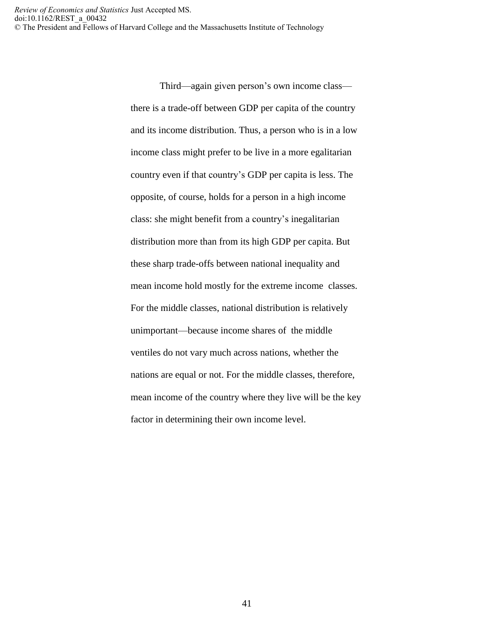> Third—again given person's own income class there is a trade-off between GDP per capita of the country and its income distribution. Thus, a person who is in a low income class might prefer to be live in a more egalitarian country even if that country's GDP per capita is less. The opposite, of course, holds for a person in a high income class: she might benefit from a country's inegalitarian distribution more than from its high GDP per capita. But these sharp trade-offs between national inequality and mean income hold mostly for the extreme income classes. For the middle classes, national distribution is relatively unimportant—because income shares of the middle ventiles do not vary much across nations, whether the nations are equal or not. For the middle classes, therefore, mean income of the country where they live will be the key factor in determining their own income level.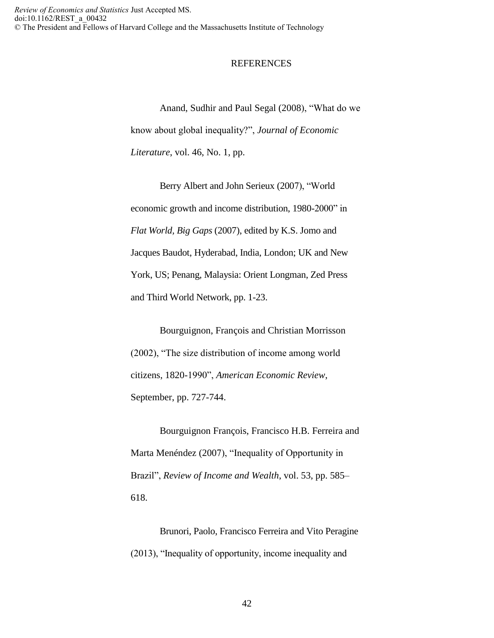#### **REFERENCES**

Anand, Sudhir and Paul Segal (2008), "What do we know about global inequality?", *Journal of Economic Literature*, vol. 46, No. 1, pp.

Berry Albert and John Serieux (2007), "World economic growth and income distribution, 1980-2000" in *Flat World, Big Gaps* (2007), edited by K.S. Jomo and Jacques Baudot, Hyderabad, India, London; UK and New York, US; Penang, Malaysia: Orient Longman, Zed Press and Third World Network, pp. 1-23.

Bourguignon, François and Christian Morrisson (2002), "The size distribution of income among world citizens, 1820-1990", *American Economic Review*, September, pp. 727-744.

Bourguignon François, Francisco H.B. Ferreira and Marta Menéndez (2007), "Inequality of Opportunity in Brazil", *Review of Income and Wealth*, vol. 53, pp. 585– 618.

Brunori, Paolo, Francisco Ferreira and Vito Peragine (2013), "Inequality of opportunity, income inequality and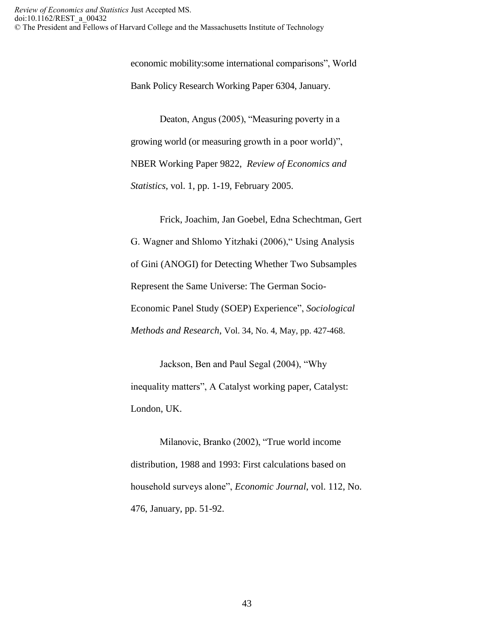economic mobility:some international comparisons", World Bank Policy Research Working Paper 6304, January.

Deaton, Angus (2005), "Measuring poverty in a growing world (or measuring growth in a poor world)", NBER Working Paper 9822, *Review of Economics and Statistics*, vol. 1, pp. 1-19, February 2005.

Frick, Joachim, Jan Goebel, Edna Schechtman, Gert G. Wagner and Shlomo Yitzhaki (2006)," Using Analysis of Gini (ANOGI) for Detecting Whether Two Subsamples Represent the Same Universe: The German Socio-Economic Panel Study (SOEP) Experience", *Sociological Methods and Research*, Vol. 34, No. 4, May, pp. 427-468.

Jackson, Ben and Paul Segal (2004), "Why inequality matters", A Catalyst working paper, Catalyst: London, UK.

Milanovic, Branko (2002), "True world income distribution, 1988 and 1993: First calculations based on household surveys alone", *Economic Journal*, vol. 112, No. 476, January, pp. 51-92.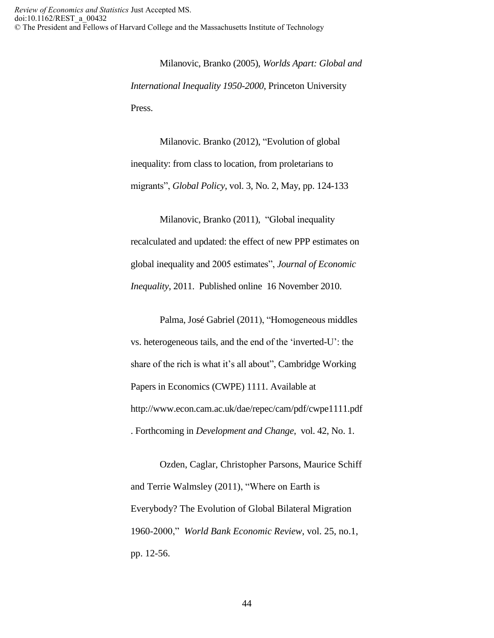Milanovic, Branko (2005), *Worlds Apart: Global and International Inequality 1950-2000*, Princeton University Press.

Milanovic. Branko (2012), "Evolution of global inequality: from class to location, from proletarians to migrants", *Global Policy*, vol. 3, No. 2, May, pp. 124-133

Milanovic, Branko (2011), "Global inequality recalculated and updated: the effect of new PPP estimates on global inequality and 2005 estimates", *Journal of Economic Inequality*, 2011. Published online 16 November 2010.

Palma, José Gabriel (2011), "Homogeneous middles vs. heterogeneous tails, and the end of the 'inverted-U': the share of the rich is what it's all about", Cambridge Working Papers in Economics (CWPE) 1111. Available at http://www.econ.cam.ac.uk/dae/repec/cam/pdf/cwpe1111.pdf . Forthcoming in *Development and Change*, vol. 42, No. 1.

Ozden, Caglar, Christopher Parsons, Maurice Schiff and Terrie Walmsley (2011), "Where on Earth is Everybody? The Evolution of Global Bilateral Migration 1960-2000," *World Bank Economic Review*, vol. 25, no.1, pp. 12-56.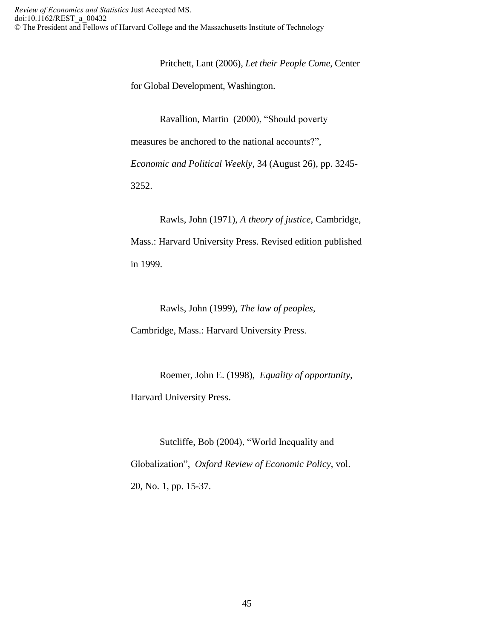Pritchett, Lant (2006), *Let their People Come*, Center

for Global Development, Washington.

Ravallion, Martin (2000), "Should poverty

measures be anchored to the national accounts?",

*Economic and Political Weekly*, 34 (August 26), pp. 3245-

3252.

Rawls, John (1971), *A theory of justice*, Cambridge, Mass.: Harvard University Press. Revised edition published in 1999.

Rawls, John (1999), *The law of peoples*,

Cambridge, Mass.: Harvard University Press.

Roemer, John E. (1998), *Equality of opportunity,*  Harvard University Press.

Sutcliffe, Bob (2004), "World Inequality and Globalization", *Oxford Review of Economic Policy*, vol. 20, No. 1, pp. 15-37.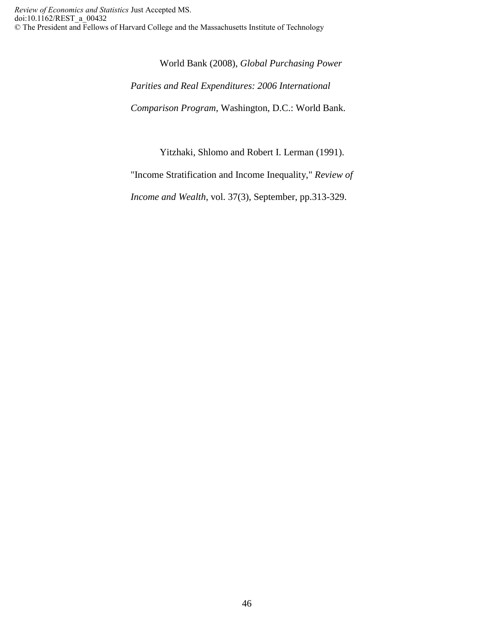World Bank (2008), *Global Purchasing Power Parities and Real Expenditures: 2006 International Comparison Program*, Washington, D.C.: World Bank.

Yitzhaki, Shlomo and Robert I. Lerman (1991).

"Income Stratification and Income Inequality," *Review of* 

*Income and Wealth*, vol. 37(3), September, pp.313-329.